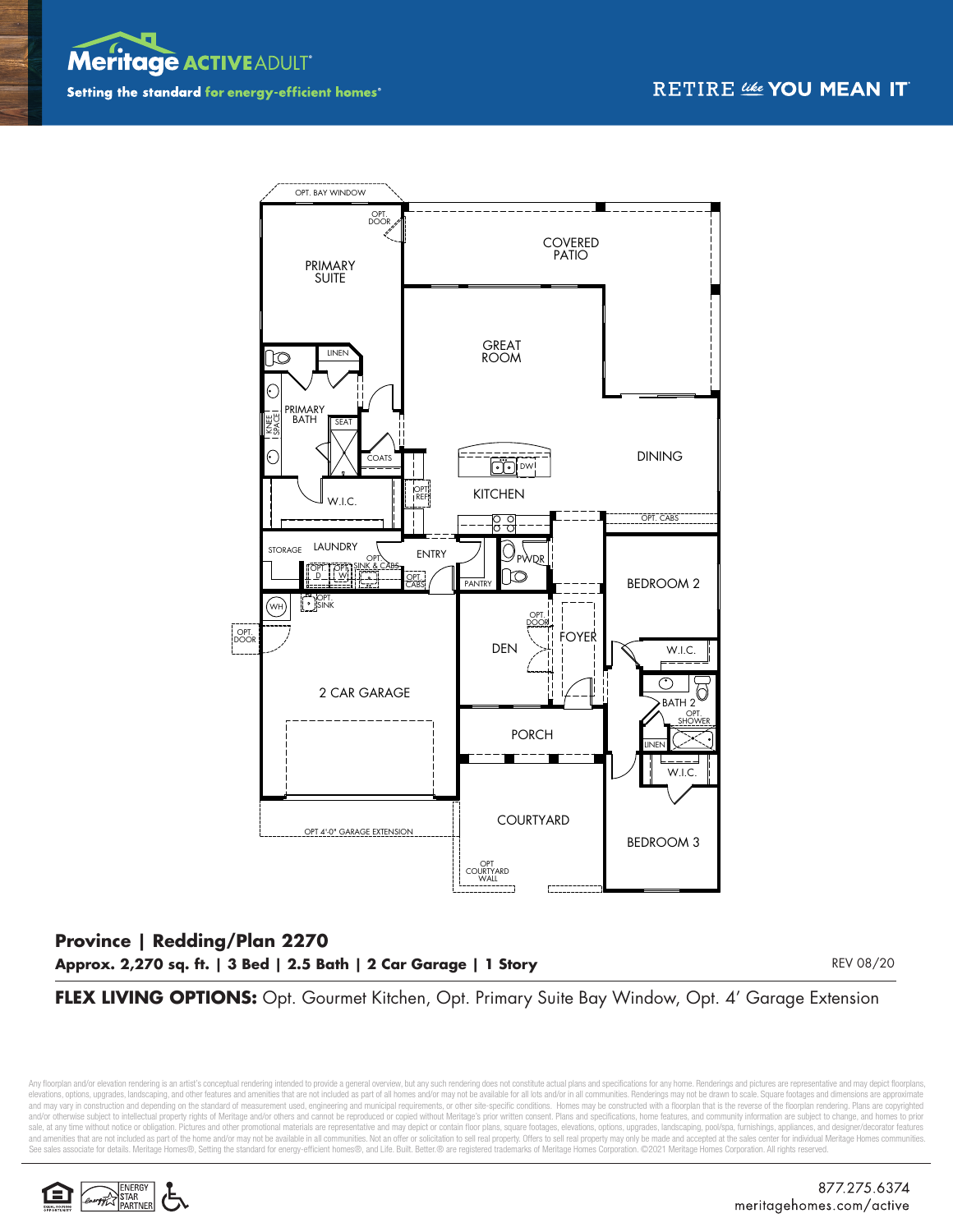



## **Province | Redding/Plan 2270 Approx. 2,270 sq. ft. | 3 Bed | 2.5 Bath | 2 Car Garage | 1 Story**

REV 08/20

**FLEX LIVING OPTIONS:** Opt. Gourmet Kitchen, Opt. Primary Suite Bay Window, Opt. 4' Garage Extension

Any floorplan and/or elevation rendering is an artist's conceptual rendering intended to provide a general overview, but any such rendering does not constitute actual plans and specifications for any home. Renderings and p elevations, options, upgrades, landscaping, and other features and amenities that are not included as part of all homes and/or may not be available for all lots and/or in all communities. Renderings may not be drawn to sca and may vary in construction and depending on the standard of measurement used, engineering and municipal requirements, or other site-specific conditions. Homes may be constructed with a floorplan that is the reverse of th and/or otherwise subject to intellectual property rights of Meritage and/or others and cannot be reproduced or copied without Meritage's prior written consent. Plans and specifications, home features, and community informa sale, at any time without notice or obligation. Pictures and other promotional materials are representative and may depict or contain floor plans, square footages, elevations, options, upgrades, landscaping, pool/spa, furn and amenities that are not included as part of the home and/or may not be available in all communities. Not an offer or solicitation to sell real property. Offers to sell real property may only be made and accepted at the S®, Setting the standard for energy-efficient homes®, and Life. Built. Better.® are registered trademarks of Meritage Homes Corporation. ©2021 Meritage Homes Corporation. All rights reserved.